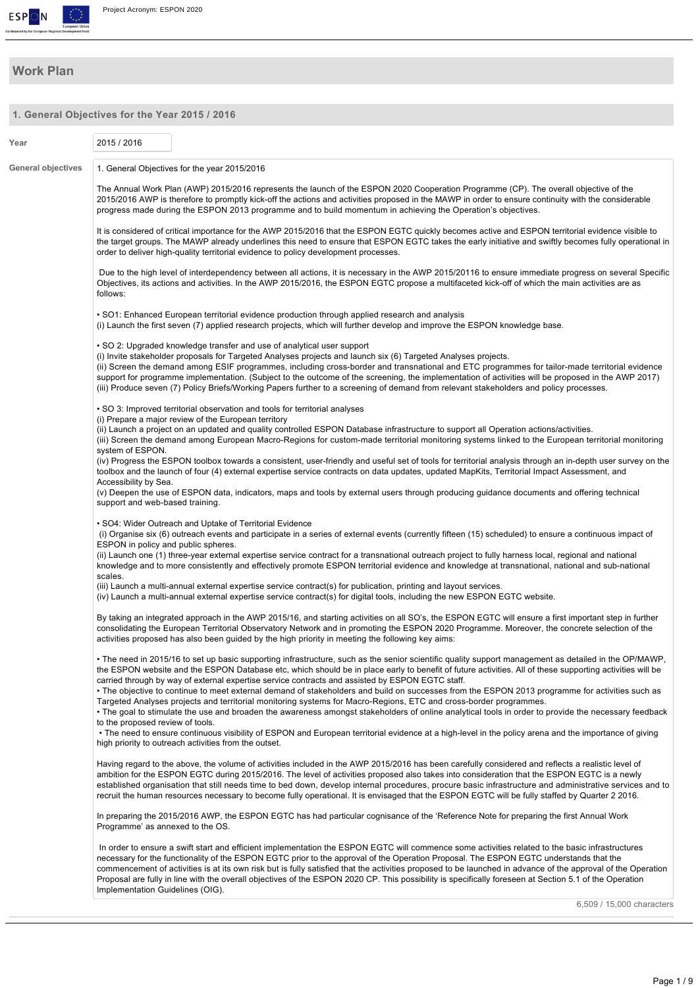

## **Work Plan**

| 1. General Objectives for the Year 2015 / 2016 |                                     |                                                                                                                                                                                                                                                 |                                                                                                                                                                                                                                                                                                                                                                                                                                                                                                                                                                                                                     |
|------------------------------------------------|-------------------------------------|-------------------------------------------------------------------------------------------------------------------------------------------------------------------------------------------------------------------------------------------------|---------------------------------------------------------------------------------------------------------------------------------------------------------------------------------------------------------------------------------------------------------------------------------------------------------------------------------------------------------------------------------------------------------------------------------------------------------------------------------------------------------------------------------------------------------------------------------------------------------------------|
| Year                                           | 2015 / 2016                         |                                                                                                                                                                                                                                                 |                                                                                                                                                                                                                                                                                                                                                                                                                                                                                                                                                                                                                     |
| <b>General objectives</b>                      |                                     | 1. General Objectives for the year 2015/2016                                                                                                                                                                                                    |                                                                                                                                                                                                                                                                                                                                                                                                                                                                                                                                                                                                                     |
|                                                |                                     | progress made during the ESPON 2013 programme and to build momentum in achieving the Operation's objectives.                                                                                                                                    | The Annual Work Plan (AWP) 2015/2016 represents the launch of the ESPON 2020 Cooperation Programme (CP). The overall objective of the<br>2015/2016 AWP is therefore to promptly kick-off the actions and activities proposed in the MAWP in order to ensure continuity with the considerable                                                                                                                                                                                                                                                                                                                        |
|                                                |                                     | order to deliver high-quality territorial evidence to policy development processes.                                                                                                                                                             | It is considered of critical importance for the AWP 2015/2016 that the ESPON EGTC quickly becomes active and ESPON territorial evidence visible to<br>the target groups. The MAWP already underlines this need to ensure that ESPON EGTC takes the early initiative and swiftly becomes fully operational in                                                                                                                                                                                                                                                                                                        |
|                                                | follows:                            |                                                                                                                                                                                                                                                 | Due to the high level of interdependency between all actions, it is necessary in the AWP 2015/20116 to ensure immediate progress on several Specific<br>Objectives, its actions and activities. In the AWP 2015/2016, the ESPON EGTC propose a multifaceted kick-off of which the main activities are as                                                                                                                                                                                                                                                                                                            |
|                                                |                                     | • SO1: Enhanced European territorial evidence production through applied research and analysis                                                                                                                                                  | (i) Launch the first seven (7) applied research projects, which will further develop and improve the ESPON knowledge base.                                                                                                                                                                                                                                                                                                                                                                                                                                                                                          |
|                                                |                                     | • SO 2: Upgraded knowledge transfer and use of analytical user support<br>(i) Invite stakeholder proposals for Targeted Analyses projects and launch six (6) Targeted Analyses projects.                                                        | (ii) Screen the demand among ESIF programmes, including cross-border and transnational and ETC programmes for tailor-made territorial evidence<br>support for programme implementation. (Subject to the outcome of the screening, the implementation of activities will be proposed in the AWP 2017)<br>(iii) Produce seven (7) Policy Briefs/Working Papers further to a screening of demand from relevant stakeholders and policy processes.                                                                                                                                                                      |
|                                                |                                     | • SO 3: Improved territorial observation and tools for territorial analyses                                                                                                                                                                     |                                                                                                                                                                                                                                                                                                                                                                                                                                                                                                                                                                                                                     |
|                                                | system of ESPON.                    | (i) Prepare a major review of the European territory                                                                                                                                                                                            | (ii) Launch a project on an updated and quality controlled ESPON Database infrastructure to support all Operation actions/activities.<br>(iii) Screen the demand among European Macro-Regions for custom-made territorial monitoring systems linked to the European territorial monitoring                                                                                                                                                                                                                                                                                                                          |
|                                                | Accessibility by Sea.               |                                                                                                                                                                                                                                                 | (iv) Progress the ESPON toolbox towards a consistent, user-friendly and useful set of tools for territorial analysis through an in-depth user survey on the<br>toolbox and the launch of four (4) external expertise service contracts on data updates, updated MapKits, Territorial Impact Assessment, and                                                                                                                                                                                                                                                                                                         |
|                                                | support and web-based training.     |                                                                                                                                                                                                                                                 | (v) Deepen the use of ESPON data, indicators, maps and tools by external users through producing guidance documents and offering technical                                                                                                                                                                                                                                                                                                                                                                                                                                                                          |
|                                                | ESPON in policy and public spheres. | • SO4: Wider Outreach and Uptake of Territorial Evidence                                                                                                                                                                                        | (i) Organise six (6) outreach events and participate in a series of external events (currently fifteen (15) scheduled) to ensure a continuous impact of                                                                                                                                                                                                                                                                                                                                                                                                                                                             |
|                                                | scales.                             |                                                                                                                                                                                                                                                 | (ii) Launch one (1) three-year external expertise service contract for a transnational outreach project to fully harness local, regional and national<br>knowledge and to more consistently and effectively promote ESPON territorial evidence and knowledge at transnational, national and sub-national                                                                                                                                                                                                                                                                                                            |
|                                                |                                     | (iii) Launch a multi-annual external expertise service contract(s) for publication, printing and layout services.<br>(iv) Launch a multi-annual external expertise service contract(s) for digital tools, including the new ESPON EGTC website. |                                                                                                                                                                                                                                                                                                                                                                                                                                                                                                                                                                                                                     |
|                                                |                                     | activities proposed has also been guided by the high priority in meeting the following key aims:                                                                                                                                                | By taking an integrated approach in the AWP 2015/16, and starting activities on all SO's, the ESPON EGTC will ensure a first important step in further<br>consolidating the European Territorial Observatory Network and in promoting the ESPON 2020 Programme. Moreover, the concrete selection of the                                                                                                                                                                                                                                                                                                             |
|                                                |                                     | carried through by way of external expertise service contracts and assisted by ESPON EGTC staff.                                                                                                                                                | • The need in 2015/16 to set up basic supporting infrastructure, such as the senior scientific quality support management as detailed in the OP/MAWP,<br>the ESPON website and the ESPON Database etc, which should be in place early to benefit of future activities. All of these supporting activities will be                                                                                                                                                                                                                                                                                                   |
|                                                | to the proposed review of tools.    | Targeted Analyses projects and territorial monitoring systems for Macro-Regions, ETC and cross-border programmes.                                                                                                                               | • The objective to continue to meet external demand of stakeholders and build on successes from the ESPON 2013 programme for activities such as<br>• The goal to stimulate the use and broaden the awareness amongst stakeholders of online analytical tools in order to provide the necessary feedback                                                                                                                                                                                                                                                                                                             |
|                                                |                                     | high priority to outreach activities from the outset.                                                                                                                                                                                           | • The need to ensure continuous visibility of ESPON and European territorial evidence at a high-level in the policy arena and the importance of giving                                                                                                                                                                                                                                                                                                                                                                                                                                                              |
|                                                |                                     |                                                                                                                                                                                                                                                 | Having regard to the above, the volume of activities included in the AWP 2015/2016 has been carefully considered and reflects a realistic level of<br>ambition for the ESPON EGTC during 2015/2016. The level of activities proposed also takes into consideration that the ESPON EGTC is a newly<br>established organisation that still needs time to bed down, develop internal procedures, procure basic infrastructure and administrative services and to<br>recruit the human resources necessary to become fully operational. It is envisaged that the ESPON EGTC will be fully staffed by Quarter 2 2016.    |
|                                                | Programme' as annexed to the OS.    |                                                                                                                                                                                                                                                 | In preparing the 2015/2016 AWP, the ESPON EGTC has had particular cognisance of the 'Reference Note for preparing the first Annual Work                                                                                                                                                                                                                                                                                                                                                                                                                                                                             |
|                                                | Implementation Guidelines (OIG).    |                                                                                                                                                                                                                                                 | In order to ensure a swift start and efficient implementation the ESPON EGTC will commence some activities related to the basic infrastructures<br>necessary for the functionality of the ESPON EGTC prior to the approval of the Operation Proposal. The ESPON EGTC understands that the<br>commencement of activities is at its own risk but is fully satisfied that the activities proposed to be launched in advance of the approval of the Operation<br>Proposal are fully in line with the overall objectives of the ESPON 2020 CP. This possibility is specifically foreseen at Section 5.1 of the Operation |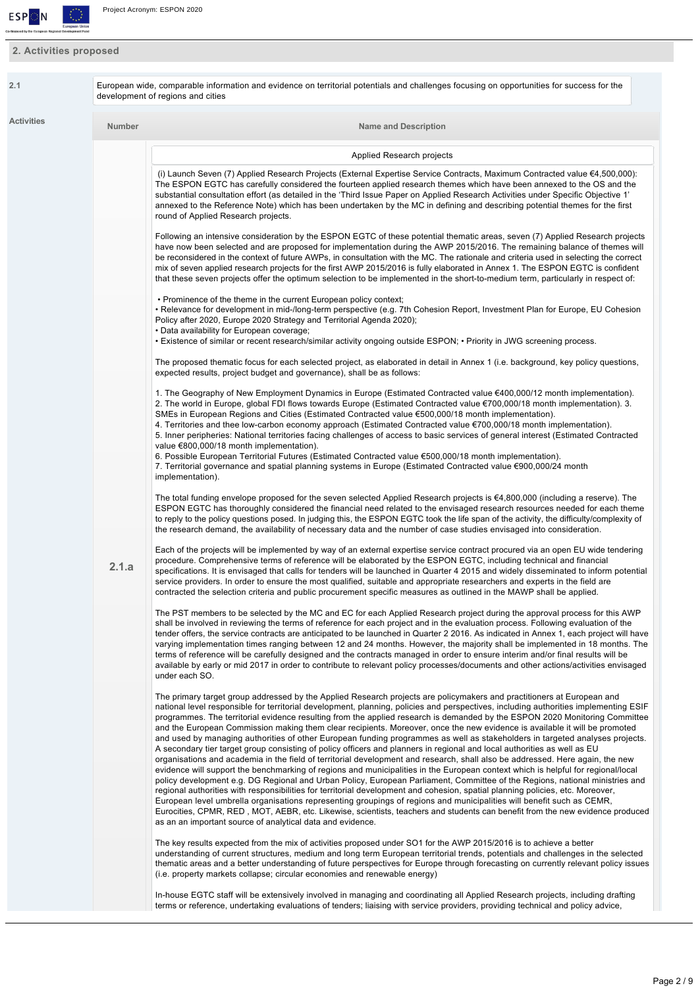

# **2. Activities proposed**

| 2.1        |               | European wide, comparable information and evidence on territorial potentials and challenges focusing on opportunities for success for the<br>development of regions and cities                                                                                                                                                                                                                                                                                                                                                                                                                                                                                                                                                                                                                                                                                                                                                                                                                                                                                                                                                                                                                                                                                                                                                                                                                                                                                                                                                                                                                                                                         |
|------------|---------------|--------------------------------------------------------------------------------------------------------------------------------------------------------------------------------------------------------------------------------------------------------------------------------------------------------------------------------------------------------------------------------------------------------------------------------------------------------------------------------------------------------------------------------------------------------------------------------------------------------------------------------------------------------------------------------------------------------------------------------------------------------------------------------------------------------------------------------------------------------------------------------------------------------------------------------------------------------------------------------------------------------------------------------------------------------------------------------------------------------------------------------------------------------------------------------------------------------------------------------------------------------------------------------------------------------------------------------------------------------------------------------------------------------------------------------------------------------------------------------------------------------------------------------------------------------------------------------------------------------------------------------------------------------|
| Activities | <b>Number</b> | <b>Name and Description</b>                                                                                                                                                                                                                                                                                                                                                                                                                                                                                                                                                                                                                                                                                                                                                                                                                                                                                                                                                                                                                                                                                                                                                                                                                                                                                                                                                                                                                                                                                                                                                                                                                            |
|            |               | Applied Research projects                                                                                                                                                                                                                                                                                                                                                                                                                                                                                                                                                                                                                                                                                                                                                                                                                                                                                                                                                                                                                                                                                                                                                                                                                                                                                                                                                                                                                                                                                                                                                                                                                              |
|            |               | (i) Launch Seven (7) Applied Research Projects (External Expertise Service Contracts, Maximum Contracted value €4,500,000):<br>The ESPON EGTC has carefully considered the fourteen applied research themes which have been annexed to the OS and the<br>substantial consultation effort (as detailed in the 'Third Issue Paper on Applied Research Activities under Specific Objective 1'<br>annexed to the Reference Note) which has been undertaken by the MC in defining and describing potential themes for the first<br>round of Applied Research projects.                                                                                                                                                                                                                                                                                                                                                                                                                                                                                                                                                                                                                                                                                                                                                                                                                                                                                                                                                                                                                                                                                      |
|            |               | Following an intensive consideration by the ESPON EGTC of these potential thematic areas, seven (7) Applied Research projects<br>have now been selected and are proposed for implementation during the AWP 2015/2016. The remaining balance of themes will<br>be reconsidered in the context of future AWPs, in consultation with the MC. The rationale and criteria used in selecting the correct<br>mix of seven applied research projects for the first AWP 2015/2016 is fully elaborated in Annex 1. The ESPON EGTC is confident<br>that these seven projects offer the optimum selection to be implemented in the short-to-medium term, particularly in respect of:                                                                                                                                                                                                                                                                                                                                                                                                                                                                                                                                                                                                                                                                                                                                                                                                                                                                                                                                                                               |
|            |               | • Prominence of the theme in the current European policy context;<br>• Relevance for development in mid-/long-term perspective (e.g. 7th Cohesion Report, Investment Plan for Europe, EU Cohesion<br>Policy after 2020, Europe 2020 Strategy and Territorial Agenda 2020);<br>• Data availability for European coverage;<br>• Existence of similar or recent research/similar activity ongoing outside ESPON; • Priority in JWG screening process.                                                                                                                                                                                                                                                                                                                                                                                                                                                                                                                                                                                                                                                                                                                                                                                                                                                                                                                                                                                                                                                                                                                                                                                                     |
|            |               | The proposed thematic focus for each selected project, as elaborated in detail in Annex 1 (i.e. background, key policy questions,<br>expected results, project budget and governance), shall be as follows:                                                                                                                                                                                                                                                                                                                                                                                                                                                                                                                                                                                                                                                                                                                                                                                                                                                                                                                                                                                                                                                                                                                                                                                                                                                                                                                                                                                                                                            |
|            |               | 1. The Geography of New Employment Dynamics in Europe (Estimated Contracted value €400,000/12 month implementation).<br>2. The world in Europe, global FDI flows towards Europe (Estimated Contracted value €700,000/18 month implementation). 3.<br>SMEs in European Regions and Cities (Estimated Contracted value €500,000/18 month implementation).<br>4. Territories and thee low-carbon economy approach (Estimated Contracted value €700,000/18 month implementation).<br>5. Inner peripheries: National territories facing challenges of access to basic services of general interest (Estimated Contracted<br>value €800,000/18 month implementation).<br>6. Possible European Territorial Futures (Estimated Contracted value €500,000/18 month implementation).                                                                                                                                                                                                                                                                                                                                                                                                                                                                                                                                                                                                                                                                                                                                                                                                                                                                             |
|            |               | 7. Territorial governance and spatial planning systems in Europe (Estimated Contracted value €900,000/24 month<br>implementation).<br>The total funding envelope proposed for the seven selected Applied Research projects is $64,800,000$ (including a reserve). The<br>ESPON EGTC has thoroughly considered the financial need related to the envisaged research resources needed for each theme<br>to reply to the policy questions posed. In judging this, the ESPON EGTC took the life span of the activity, the difficulty/complexity of                                                                                                                                                                                                                                                                                                                                                                                                                                                                                                                                                                                                                                                                                                                                                                                                                                                                                                                                                                                                                                                                                                         |
|            | 2.1.a         | the research demand, the availability of necessary data and the number of case studies envisaged into consideration.<br>Each of the projects will be implemented by way of an external expertise service contract procured via an open EU wide tendering<br>procedure. Comprehensive terms of reference will be elaborated by the ESPON EGTC, including technical and financial<br>specifications. It is envisaged that calls for tenders will be launched in Quarter 4 2015 and widely disseminated to inform potential<br>service providers. In order to ensure the most qualified, suitable and appropriate researchers and experts in the field are<br>contracted the selection criteria and public procurement specific measures as outlined in the MAWP shall be applied.                                                                                                                                                                                                                                                                                                                                                                                                                                                                                                                                                                                                                                                                                                                                                                                                                                                                        |
|            |               | The PST members to be selected by the MC and EC for each Applied Research project during the approval process for this AWP<br>shall be involved in reviewing the terms of reference for each project and in the evaluation process. Following evaluation of the<br>tender offers, the service contracts are anticipated to be launched in Quarter 2 2016. As indicated in Annex 1, each project will have<br>varying implementation times ranging between 12 and 24 months. However, the majority shall be implemented in 18 months. The<br>terms of reference will be carefully designed and the contracts managed in order to ensure interim and/or final results will be<br>available by early or mid 2017 in order to contribute to relevant policy processes/documents and other actions/activities envisaged<br>under each SO.                                                                                                                                                                                                                                                                                                                                                                                                                                                                                                                                                                                                                                                                                                                                                                                                                   |
|            |               | The primary target group addressed by the Applied Research projects are policymakers and practitioners at European and<br>national level responsible for territorial development, planning, policies and perspectives, including authorities implementing ESIF<br>programmes. The territorial evidence resulting from the applied research is demanded by the ESPON 2020 Monitoring Committee<br>and the European Commission making them clear recipients. Moreover, once the new evidence is available it will be promoted<br>and used by managing authorities of other European funding programmes as well as stakeholders in targeted analyses projects.<br>A secondary tier target group consisting of policy officers and planners in regional and local authorities as well as EU<br>organisations and academia in the field of territorial development and research, shall also be addressed. Here again, the new<br>evidence will support the benchmarking of regions and municipalities in the European context which is helpful for regional/local<br>policy development e.g. DG Regional and Urban Policy, European Parliament, Committee of the Regions, national ministries and<br>regional authorities with responsibilities for territorial development and cohesion, spatial planning policies, etc. Moreover,<br>European level umbrella organisations representing groupings of regions and municipalities will benefit such as CEMR,<br>Eurocities, CPMR, RED, MOT, AEBR, etc. Likewise, scientists, teachers and students can benefit from the new evidence produced<br>as an an important source of analytical data and evidence. |
|            |               | The key results expected from the mix of activities proposed under SO1 for the AWP 2015/2016 is to achieve a better<br>understanding of current structures, medium and long term European territorial trends, potentials and challenges in the selected<br>thematic areas and a better understanding of future perspectives for Europe through forecasting on currently relevant policy issues<br>(i.e. property markets collapse; circular economies and renewable energy)                                                                                                                                                                                                                                                                                                                                                                                                                                                                                                                                                                                                                                                                                                                                                                                                                                                                                                                                                                                                                                                                                                                                                                            |
|            |               | In-house EGTC staff will be extensively involved in managing and coordinating all Applied Research projects, including drafting<br>terms or reference, undertaking evaluations of tenders; liaising with service providers, providing technical and policy advice,                                                                                                                                                                                                                                                                                                                                                                                                                                                                                                                                                                                                                                                                                                                                                                                                                                                                                                                                                                                                                                                                                                                                                                                                                                                                                                                                                                                     |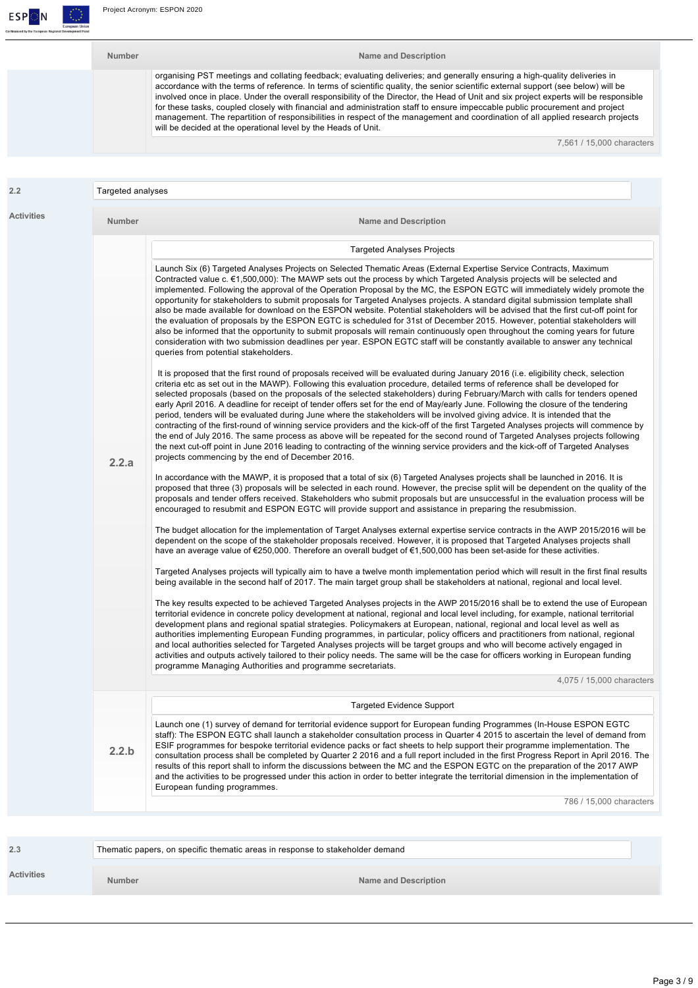

| <b>Number</b> | Name and Description                                                                                                                                                                                                                                                                                                                                                                                                                                                                                                                                                                                                                                                                                                                           |
|---------------|------------------------------------------------------------------------------------------------------------------------------------------------------------------------------------------------------------------------------------------------------------------------------------------------------------------------------------------------------------------------------------------------------------------------------------------------------------------------------------------------------------------------------------------------------------------------------------------------------------------------------------------------------------------------------------------------------------------------------------------------|
|               | organising PST meetings and collating feedback; evaluating deliveries; and generally ensuring a high-quality deliveries in<br>accordance with the terms of reference. In terms of scientific quality, the senior scientific external support (see below) will be<br>involved once in place. Under the overall responsibility of the Director, the Head of Unit and six project experts will be responsible<br>for these tasks, coupled closely with financial and administration staff to ensure impeccable public procurement and project<br>management. The repartition of responsibilities in respect of the management and coordination of all applied research projects<br>will be decided at the operational level by the Heads of Unit. |
|               | 7.561 / 15.000 characters                                                                                                                                                                                                                                                                                                                                                                                                                                                                                                                                                                                                                                                                                                                      |

|                   | Targeted analyses |                                                                                                                                                                                                                                                                                                                                                                                                                                                                                                                                                                                                                                                                                                                                                                                                                                                                                                                                                                                                                                                                                                                                               |
|-------------------|-------------------|-----------------------------------------------------------------------------------------------------------------------------------------------------------------------------------------------------------------------------------------------------------------------------------------------------------------------------------------------------------------------------------------------------------------------------------------------------------------------------------------------------------------------------------------------------------------------------------------------------------------------------------------------------------------------------------------------------------------------------------------------------------------------------------------------------------------------------------------------------------------------------------------------------------------------------------------------------------------------------------------------------------------------------------------------------------------------------------------------------------------------------------------------|
| <b>Activities</b> | <b>Number</b>     | <b>Name and Description</b>                                                                                                                                                                                                                                                                                                                                                                                                                                                                                                                                                                                                                                                                                                                                                                                                                                                                                                                                                                                                                                                                                                                   |
|                   |                   | <b>Targeted Analyses Projects</b>                                                                                                                                                                                                                                                                                                                                                                                                                                                                                                                                                                                                                                                                                                                                                                                                                                                                                                                                                                                                                                                                                                             |
|                   |                   | Launch Six (6) Targeted Analyses Projects on Selected Thematic Areas (External Expertise Service Contracts, Maximum<br>Contracted value c. €1,500,000): The MAWP sets out the process by which Targeted Analysis projects will be selected and<br>implemented. Following the approval of the Operation Proposal by the MC, the ESPON EGTC will immediately widely promote the<br>opportunity for stakeholders to submit proposals for Targeted Analyses projects. A standard digital submission template shall<br>also be made available for download on the ESPON website. Potential stakeholders will be advised that the first cut-off point for<br>the evaluation of proposals by the ESPON EGTC is scheduled for 31st of December 2015. However, potential stakeholders will<br>also be informed that the opportunity to submit proposals will remain continuously open throughout the coming years for future<br>consideration with two submission deadlines per year. ESPON EGTC staff will be constantly available to answer any technical<br>queries from potential stakeholders.                                                    |
|                   | 2.2.a             | It is proposed that the first round of proposals received will be evaluated during January 2016 (i.e. eligibility check, selection<br>criteria etc as set out in the MAWP). Following this evaluation procedure, detailed terms of reference shall be developed for<br>selected proposals (based on the proposals of the selected stakeholders) during February/March with calls for tenders opened<br>early April 2016. A deadline for receipt of tender offers set for the end of May/early June. Following the closure of the tendering<br>period, tenders will be evaluated during June where the stakeholders will be involved giving advice. It is intended that the<br>contracting of the first-round of winning service providers and the kick-off of the first Targeted Analyses projects will commence by<br>the end of July 2016. The same process as above will be repeated for the second round of Targeted Analyses projects following<br>the next cut-off point in June 2016 leading to contracting of the winning service providers and the kick-off of Targeted Analyses<br>projects commencing by the end of December 2016. |
|                   |                   | In accordance with the MAWP, it is proposed that a total of six (6) Targeted Analyses projects shall be launched in 2016. It is<br>proposed that three (3) proposals will be selected in each round. However, the precise split will be dependent on the quality of the<br>proposals and tender offers received. Stakeholders who submit proposals but are unsuccessful in the evaluation process will be<br>encouraged to resubmit and ESPON EGTC will provide support and assistance in preparing the resubmission.                                                                                                                                                                                                                                                                                                                                                                                                                                                                                                                                                                                                                         |
|                   |                   | The budget allocation for the implementation of Target Analyses external expertise service contracts in the AWP 2015/2016 will be<br>dependent on the scope of the stakeholder proposals received. However, it is proposed that Targeted Analyses projects shall<br>have an average value of €250,000. Therefore an overall budget of €1,500,000 has been set-aside for these activities.                                                                                                                                                                                                                                                                                                                                                                                                                                                                                                                                                                                                                                                                                                                                                     |
|                   |                   | Targeted Analyses projects will typically aim to have a twelve month implementation period which will result in the first final results<br>being available in the second half of 2017. The main target group shall be stakeholders at national, regional and local level.                                                                                                                                                                                                                                                                                                                                                                                                                                                                                                                                                                                                                                                                                                                                                                                                                                                                     |
|                   |                   | The key results expected to be achieved Targeted Analyses projects in the AWP 2015/2016 shall be to extend the use of European<br>territorial evidence in concrete policy development at national, regional and local level including, for example, national territorial<br>development plans and regional spatial strategies. Policymakers at European, national, regional and local level as well as<br>authorities implementing European Funding programmes, in particular, policy officers and practitioners from national, regional<br>and local authorities selected for Targeted Analyses projects will be target groups and who will become actively engaged in<br>activities and outputs actively tailored to their policy needs. The same will be the case for officers working in European funding<br>programme Managing Authorities and programme secretariats.                                                                                                                                                                                                                                                                   |
|                   |                   | 4,075 / 15,000 characters                                                                                                                                                                                                                                                                                                                                                                                                                                                                                                                                                                                                                                                                                                                                                                                                                                                                                                                                                                                                                                                                                                                     |
|                   |                   | <b>Targeted Evidence Support</b>                                                                                                                                                                                                                                                                                                                                                                                                                                                                                                                                                                                                                                                                                                                                                                                                                                                                                                                                                                                                                                                                                                              |
|                   | 2.2.b             | Launch one (1) survey of demand for territorial evidence support for European funding Programmes (In-House ESPON EGTC<br>staff): The ESPON EGTC shall launch a stakeholder consultation process in Quarter 4 2015 to ascertain the level of demand from<br>ESIF programmes for bespoke territorial evidence packs or fact sheets to help support their programme implementation. The<br>consultation process shall be completed by Quarter 2 2016 and a full report included in the first Progress Report in April 2016. The<br>results of this report shall to inform the discussions between the MC and the ESPON EGTC on the preparation of the 2017 AWP<br>and the activities to be progressed under this action in order to better integrate the territorial dimension in the implementation of<br>European funding programmes.                                                                                                                                                                                                                                                                                                          |
|                   |                   | 786 / 15,000 characters                                                                                                                                                                                                                                                                                                                                                                                                                                                                                                                                                                                                                                                                                                                                                                                                                                                                                                                                                                                                                                                                                                                       |

|                   |        | Thematic papers, on specific thematic areas in response to stakeholder demand |
|-------------------|--------|-------------------------------------------------------------------------------|
| <b>Activities</b> | Number | Name and Description                                                          |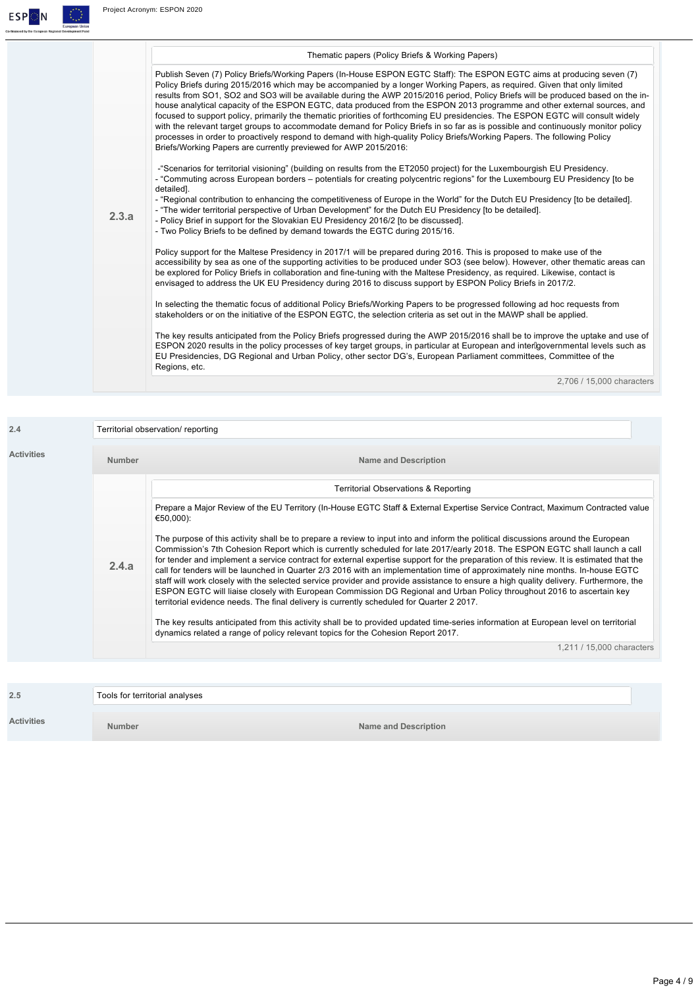

| 2.4               | Territorial observation/reporting |                                                                                                                                                                                                                                                                                                                                                                                                                                                                                                                                                                                                                                                                                                                                                                                                                                                                                                           |  |
|-------------------|-----------------------------------|-----------------------------------------------------------------------------------------------------------------------------------------------------------------------------------------------------------------------------------------------------------------------------------------------------------------------------------------------------------------------------------------------------------------------------------------------------------------------------------------------------------------------------------------------------------------------------------------------------------------------------------------------------------------------------------------------------------------------------------------------------------------------------------------------------------------------------------------------------------------------------------------------------------|--|
| <b>Activities</b> | Number                            | <b>Name and Description</b>                                                                                                                                                                                                                                                                                                                                                                                                                                                                                                                                                                                                                                                                                                                                                                                                                                                                               |  |
|                   |                                   | <b>Territorial Observations &amp; Reporting</b>                                                                                                                                                                                                                                                                                                                                                                                                                                                                                                                                                                                                                                                                                                                                                                                                                                                           |  |
|                   |                                   | Prepare a Major Review of the EU Territory (In-House EGTC Staff & External Expertise Service Contract, Maximum Contracted value<br>€50,000):                                                                                                                                                                                                                                                                                                                                                                                                                                                                                                                                                                                                                                                                                                                                                              |  |
|                   | 2.4.a                             | The purpose of this activity shall be to prepare a review to input into and inform the political discussions around the European<br>Commission's 7th Cohesion Report which is currently scheduled for late 2017/early 2018. The ESPON EGTC shall launch a call<br>for tender and implement a service contract for external expertise support for the preparation of this review. It is estimated that the<br>call for tenders will be launched in Quarter 2/3 2016 with an implementation time of approximately nine months. In-house EGTC<br>staff will work closely with the selected service provider and provide assistance to ensure a high quality delivery. Furthermore, the<br>ESPON EGTC will liaise closely with European Commission DG Regional and Urban Policy throughout 2016 to ascertain key<br>territorial evidence needs. The final delivery is currently scheduled for Quarter 2 2017. |  |
|                   |                                   | The key results anticipated from this activity shall be to provided updated time-series information at European level on territorial<br>dynamics related a range of policy relevant topics for the Cohesion Report 2017.                                                                                                                                                                                                                                                                                                                                                                                                                                                                                                                                                                                                                                                                                  |  |
|                   |                                   | 1,211 / 15,000 characters                                                                                                                                                                                                                                                                                                                                                                                                                                                                                                                                                                                                                                                                                                                                                                                                                                                                                 |  |

| 2.5        | Tools for territorial analyses |                      |
|------------|--------------------------------|----------------------|
| Activities | <b>Number</b>                  | Name and Description |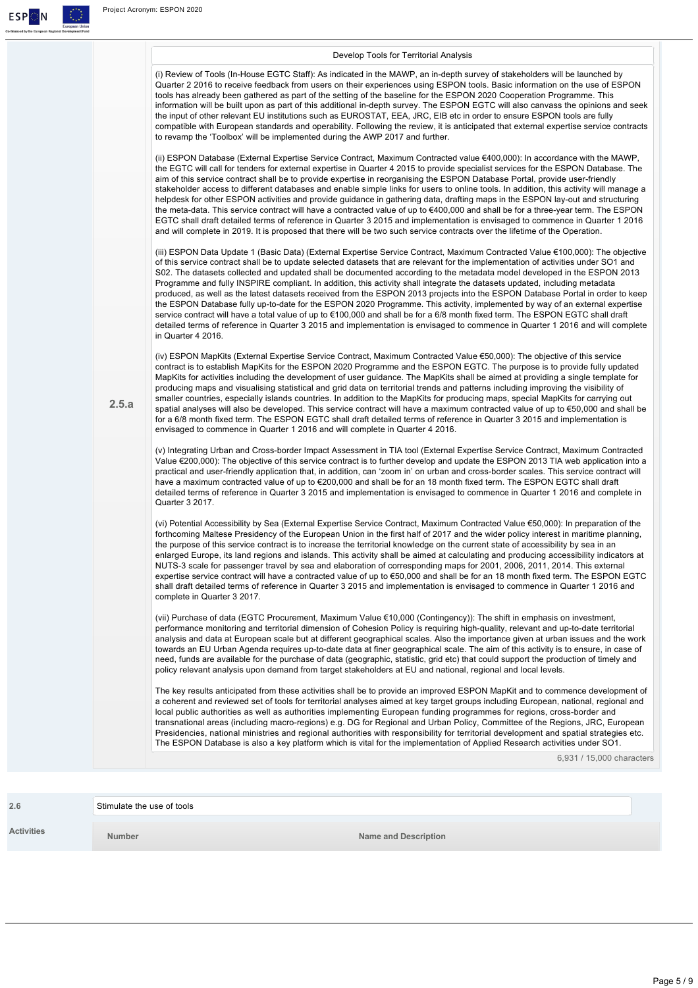$\begin{array}{c|c|c|c} \textbf{E} & \textbf{S} & \textbf{P} & \textbf{P} & \textbf{P} & \textbf{P} & \textbf{P} & \textbf{P} & \textbf{P} & \textbf{P} & \textbf{P} & \textbf{P} & \textbf{P} & \textbf{P} & \textbf{P} & \textbf{P} & \textbf{P} & \textbf{P} & \textbf{P} & \textbf{P} & \textbf{P} & \textbf{P} & \textbf{P} & \textbf{P} & \textbf{P} & \textbf{P} & \textbf{P} & \textbf{P} & \textbf{P} & \textbf{$ 

.<br>Co-fin

|       | Develop Tools for Territorial Analysis                                                                                                                                                                                                                                                                                                                                                                                                                                                                                                                                                                                                                                                                                                                                                                                                                                                                                                                                                                                                                                                   |
|-------|------------------------------------------------------------------------------------------------------------------------------------------------------------------------------------------------------------------------------------------------------------------------------------------------------------------------------------------------------------------------------------------------------------------------------------------------------------------------------------------------------------------------------------------------------------------------------------------------------------------------------------------------------------------------------------------------------------------------------------------------------------------------------------------------------------------------------------------------------------------------------------------------------------------------------------------------------------------------------------------------------------------------------------------------------------------------------------------|
|       | (i) Review of Tools (In-House EGTC Staff): As indicated in the MAWP, an in-depth survey of stakeholders will be launched by<br>Quarter 2 2016 to receive feedback from users on their experiences using ESPON tools. Basic information on the use of ESPON<br>tools has already been gathered as part of the setting of the baseline for the ESPON 2020 Cooperation Programme. This<br>information will be built upon as part of this additional in-depth survey. The ESPON EGTC will also canvass the opinions and seek<br>the input of other relevant EU institutions such as EUROSTAT, EEA, JRC, EIB etc in order to ensure ESPON tools are fully<br>compatible with European standards and operability. Following the review, it is anticipated that external expertise service contracts<br>to revamp the 'Toolbox' will be implemented during the AWP 2017 and further.                                                                                                                                                                                                            |
|       | (ii) ESPON Database (External Expertise Service Contract, Maximum Contracted value €400,000): In accordance with the MAWP,<br>the EGTC will call for tenders for external expertise in Quarter 4 2015 to provide specialist services for the ESPON Database. The<br>aim of this service contract shall be to provide expertise in reorganising the ESPON Database Portal, provide user-friendly<br>stakeholder access to different databases and enable simple links for users to online tools. In addition, this activity will manage a<br>helpdesk for other ESPON activities and provide guidance in gathering data, drafting maps in the ESPON lay-out and structuring<br>the meta-data. This service contract will have a contracted value of up to €400,000 and shall be for a three-year term. The ESPON<br>EGTC shall draft detailed terms of reference in Quarter 3 2015 and implementation is envisaged to commence in Quarter 1 2016<br>and will complete in 2019. It is proposed that there will be two such service contracts over the lifetime of the Operation.           |
|       | (iii) ESPON Data Update 1 (Basic Data) (External Expertise Service Contract, Maximum Contracted Value €100,000): The objective<br>of this service contract shall be to update selected datasets that are relevant for the implementation of activities under SO1 and<br>S02. The datasets collected and updated shall be documented according to the metadata model developed in the ESPON 2013<br>Programme and fully INSPIRE compliant. In addition, this activity shall integrate the datasets updated, including metadata<br>produced, as well as the latest datasets received from the ESPON 2013 projects into the ESPON Database Portal in order to keep<br>the ESPON Database fully up-to-date for the ESPON 2020 Programme. This activity, implemented by way of an external expertise<br>service contract will have a total value of up to €100,000 and shall be for a 6/8 month fixed term. The ESPON EGTC shall draft<br>detailed terms of reference in Quarter 3 2015 and implementation is envisaged to commence in Quarter 1 2016 and will complete<br>in Quarter 4 2016. |
| 2.5.a | (iv) ESPON MapKits (External Expertise Service Contract, Maximum Contracted Value €50,000): The objective of this service<br>contract is to establish MapKits for the ESPON 2020 Programme and the ESPON EGTC. The purpose is to provide fully updated<br>MapKits for activities including the development of user guidance. The MapKits shall be aimed at providing a single template for<br>producing maps and visualising statistical and grid data on territorial trends and patterns including improving the visibility of<br>smaller countries, especially islands countries. In addition to the MapKits for producing maps, special MapKits for carrying out<br>spatial analyses will also be developed. This service contract will have a maximum contracted value of up to €50,000 and shall be<br>for a 6/8 month fixed term. The ESPON EGTC shall draft detailed terms of reference in Quarter 3 2015 and implementation is<br>envisaged to commence in Quarter 1 2016 and will complete in Quarter 4 2016.                                                                   |
|       | (v) Integrating Urban and Cross-border Impact Assessment in TIA tool (External Expertise Service Contract, Maximum Contracted<br>Value €200,000): The objective of this service contract is to further develop and update the ESPON 2013 TIA web application into a<br>practical and user-friendly application that, in addition, can 'zoom in' on urban and cross-border scales. This service contract will<br>have a maximum contracted value of up to €200,000 and shall be for an 18 month fixed term. The ESPON EGTC shall draft<br>detailed terms of reference in Quarter 3 2015 and implementation is envisaged to commence in Quarter 1 2016 and complete in<br>Quarter 3 2017.                                                                                                                                                                                                                                                                                                                                                                                                  |
|       | (vi) Potential Accessibility by Sea (External Expertise Service Contract, Maximum Contracted Value €50,000): In preparation of the<br>forthcoming Maltese Presidency of the European Union in the first half of 2017 and the wider policy interest in maritime planning,<br>the purpose of this service contract is to increase the territorial knowledge on the current state of accessibility by sea in an<br>enlarged Europe, its land regions and islands. This activity shall be aimed at calculating and producing accessibility indicators at<br>NUTS-3 scale for passenger travel by sea and elaboration of corresponding maps for 2001, 2006, 2011, 2014. This external<br>expertise service contract will have a contracted value of up to €50,000 and shall be for an 18 month fixed term. The ESPON EGTC<br>shall draft detailed terms of reference in Quarter 3 2015 and implementation is envisaged to commence in Quarter 1 2016 and<br>complete in Quarter 3 2017.                                                                                                       |
|       | (vii) Purchase of data (EGTC Procurement, Maximum Value €10,000 (Contingency)): The shift in emphasis on investment,<br>performance monitoring and territorial dimension of Cohesion Policy is requiring high-quality, relevant and up-to-date territorial<br>analysis and data at European scale but at different geographical scales. Also the importance given at urban issues and the work<br>towards an EU Urban Agenda requires up-to-date data at finer geographical scale. The aim of this activity is to ensure, in case of<br>need, funds are available for the purchase of data (geographic, statistic, grid etc) that could support the production of timely and<br>policy relevant analysis upon demand from target stakeholders at EU and national, regional and local levels.                                                                                                                                                                                                                                                                                             |
|       | The key results anticipated from these activities shall be to provide an improved ESPON MapKit and to commence development of<br>a coherent and reviewed set of tools for territorial analyses aimed at key target groups including European, national, regional and<br>local public authorities as well as authorities implementing European funding programmes for regions, cross-border and<br>transnational areas (including macro-regions) e.g. DG for Regional and Urban Policy, Committee of the Regions, JRC, European<br>Presidencies, national ministries and regional authorities with responsibility for territorial development and spatial strategies etc.<br>The ESPON Database is also a key platform which is vital for the implementation of Applied Research activities under SO1.                                                                                                                                                                                                                                                                                    |
|       | 6,931 / 15,000 characters                                                                                                                                                                                                                                                                                                                                                                                                                                                                                                                                                                                                                                                                                                                                                                                                                                                                                                                                                                                                                                                                |

| 2.6        | Stimulate the use of tools |                      |  |
|------------|----------------------------|----------------------|--|
| Activities | <b>Number</b>              | Name and Description |  |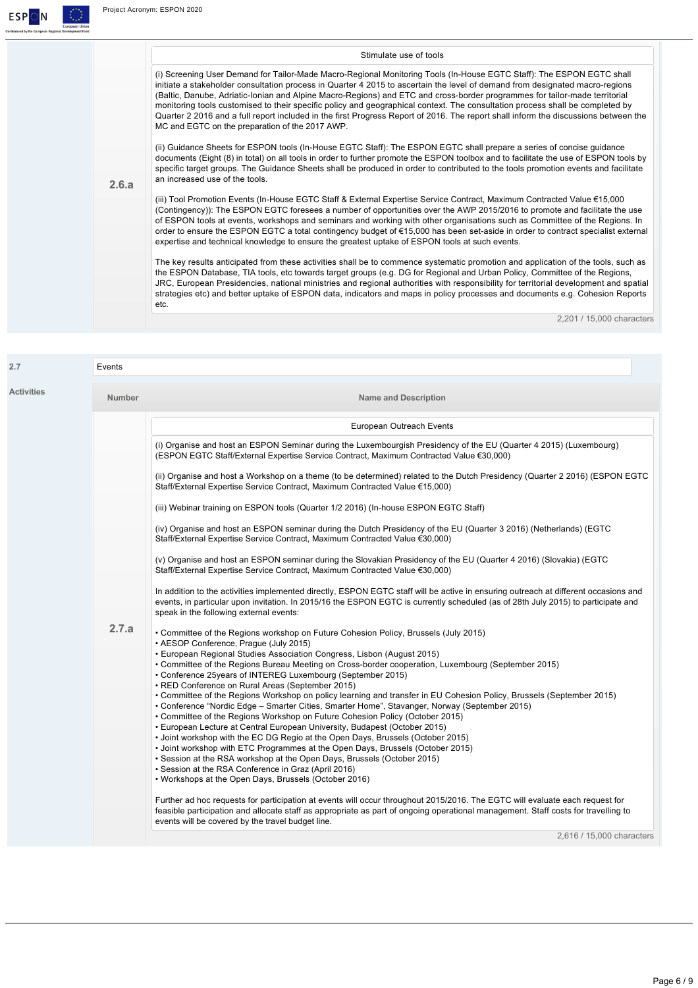

|       | Stimulate use of tools                                                                                                                                                                                                                                                                                                                                                                                                                                                                                                                                                                                                                                                                                         |
|-------|----------------------------------------------------------------------------------------------------------------------------------------------------------------------------------------------------------------------------------------------------------------------------------------------------------------------------------------------------------------------------------------------------------------------------------------------------------------------------------------------------------------------------------------------------------------------------------------------------------------------------------------------------------------------------------------------------------------|
|       | (i) Screening User Demand for Tailor-Made Macro-Regional Monitoring Tools (In-House EGTC Staff): The ESPON EGTC shall<br>initiate a stakeholder consultation process in Quarter 4 2015 to ascertain the level of demand from designated macro-regions<br>(Baltic, Danube, Adriatic-Ionian and Alpine Macro-Regions) and ETC and cross-border programmes for tailor-made territorial<br>monitoring tools customised to their specific policy and geographical context. The consultation process shall be completed by<br>Quarter 2 2016 and a full report included in the first Progress Report of 2016. The report shall inform the discussions between the<br>MC and EGTC on the preparation of the 2017 AWP. |
| 2.6.a | (ii) Guidance Sheets for ESPON tools (In-House EGTC Staff): The ESPON EGTC shall prepare a series of concise guidance<br>documents (Eight (8) in total) on all tools in order to further promote the ESPON toolbox and to facilitate the use of ESPON tools by<br>specific target groups. The Guidance Sheets shall be produced in order to contributed to the tools promotion events and facilitate<br>an increased use of the tools.                                                                                                                                                                                                                                                                         |
|       | (iii) Tool Promotion Events (In-House EGTC Staff & External Expertise Service Contract, Maximum Contracted Value €15,000<br>(Contingency)): The ESPON EGTC foresees a number of opportunities over the AWP 2015/2016 to promote and facilitate the use<br>of ESPON tools at events, workshops and seminars and working with other organisations such as Committee of the Regions. In<br>order to ensure the ESPON EGTC a total contingency budget of €15,000 has been set-aside in order to contract specialist external<br>expertise and technical knowledge to ensure the greatest uptake of ESPON tools at such events.                                                                                     |
|       | The key results anticipated from these activities shall be to commence systematic promotion and application of the tools, such as<br>the ESPON Database, TIA tools, etc towards target groups (e.g. DG for Regional and Urban Policy, Committee of the Regions,<br>JRC, European Presidencies, national ministries and regional authorities with responsibility for territorial development and spatial<br>strategies etc) and better uptake of ESPON data, indicators and maps in policy processes and documents e.g. Cohesion Reports<br>etc.                                                                                                                                                                |
|       | 2.201 / 15.000 characters                                                                                                                                                                                                                                                                                                                                                                                                                                                                                                                                                                                                                                                                                      |

| <b>Activities</b> | <b>Number</b> | <b>Name and Description</b>                                                                                                                                                                                                                                                                                                                                                                                                                                                                                                                                                                                                                                                                                                                                                                                                                                                                                                                                                                                                                                                                                                                                                                                                                                                                                                                                                                                                                                   |
|-------------------|---------------|---------------------------------------------------------------------------------------------------------------------------------------------------------------------------------------------------------------------------------------------------------------------------------------------------------------------------------------------------------------------------------------------------------------------------------------------------------------------------------------------------------------------------------------------------------------------------------------------------------------------------------------------------------------------------------------------------------------------------------------------------------------------------------------------------------------------------------------------------------------------------------------------------------------------------------------------------------------------------------------------------------------------------------------------------------------------------------------------------------------------------------------------------------------------------------------------------------------------------------------------------------------------------------------------------------------------------------------------------------------------------------------------------------------------------------------------------------------|
|                   |               | European Outreach Events                                                                                                                                                                                                                                                                                                                                                                                                                                                                                                                                                                                                                                                                                                                                                                                                                                                                                                                                                                                                                                                                                                                                                                                                                                                                                                                                                                                                                                      |
|                   |               | (i) Organise and host an ESPON Seminar during the Luxembourgish Presidency of the EU (Quarter 4 2015) (Luxembourg)<br>(ESPON EGTC Staff/External Expertise Service Contract, Maximum Contracted Value €30,000)                                                                                                                                                                                                                                                                                                                                                                                                                                                                                                                                                                                                                                                                                                                                                                                                                                                                                                                                                                                                                                                                                                                                                                                                                                                |
|                   |               | (ii) Organise and host a Workshop on a theme (to be determined) related to the Dutch Presidency (Quarter 2 2016) (ESPON EGTC<br>Staff/External Expertise Service Contract, Maximum Contracted Value €15,000)                                                                                                                                                                                                                                                                                                                                                                                                                                                                                                                                                                                                                                                                                                                                                                                                                                                                                                                                                                                                                                                                                                                                                                                                                                                  |
|                   |               | (iii) Webinar training on ESPON tools (Quarter 1/2 2016) (In-house ESPON EGTC Staff)                                                                                                                                                                                                                                                                                                                                                                                                                                                                                                                                                                                                                                                                                                                                                                                                                                                                                                                                                                                                                                                                                                                                                                                                                                                                                                                                                                          |
|                   |               | (iv) Organise and host an ESPON seminar during the Dutch Presidency of the EU (Quarter 3 2016) (Netherlands) (EGTC<br>Staff/External Expertise Service Contract, Maximum Contracted Value €30,000)                                                                                                                                                                                                                                                                                                                                                                                                                                                                                                                                                                                                                                                                                                                                                                                                                                                                                                                                                                                                                                                                                                                                                                                                                                                            |
|                   |               | (v) Organise and host an ESPON seminar during the Slovakian Presidency of the EU (Quarter 4 2016) (Slovakia) (EGTC<br>Staff/External Expertise Service Contract, Maximum Contracted Value €30,000)                                                                                                                                                                                                                                                                                                                                                                                                                                                                                                                                                                                                                                                                                                                                                                                                                                                                                                                                                                                                                                                                                                                                                                                                                                                            |
|                   |               | In addition to the activities implemented directly, ESPON EGTC staff will be active in ensuring outreach at different occasions and<br>events, in particular upon invitation. In 2015/16 the ESPON EGTC is currently scheduled (as of 28th July 2015) to participate and<br>speak in the following external events:                                                                                                                                                                                                                                                                                                                                                                                                                                                                                                                                                                                                                                                                                                                                                                                                                                                                                                                                                                                                                                                                                                                                           |
|                   | 2.7.a         | • Committee of the Regions workshop on Future Cohesion Policy, Brussels (July 2015)<br>• AESOP Conference, Prague (July 2015)<br>• European Regional Studies Association Congress, Lisbon (August 2015)<br>• Committee of the Regions Bureau Meeting on Cross-border cooperation, Luxembourg (September 2015)<br>• Conference 25years of INTEREG Luxembourg (September 2015)<br>• RED Conference on Rural Areas (September 2015)<br>. Committee of the Regions Workshop on policy learning and transfer in EU Cohesion Policy, Brussels (September 2015)<br>• Conference "Nordic Edge - Smarter Cities, Smarter Home", Stavanger, Norway (September 2015)<br>• Committee of the Regions Workshop on Future Cohesion Policy (October 2015)<br>• European Lecture at Central European University, Budapest (October 2015)<br>• Joint workshop with the EC DG Regio at the Open Days, Brussels (October 2015)<br>• Joint workshop with ETC Programmes at the Open Days, Brussels (October 2015)<br>• Session at the RSA workshop at the Open Days, Brussels (October 2015)<br>• Session at the RSA Conference in Graz (April 2016)<br>• Workshops at the Open Days, Brussels (October 2016)<br>Further ad hoc requests for participation at events will occur throughout 2015/2016. The EGTC will evaluate each request for<br>feasible participation and allocate staff as appropriate as part of ongoing operational management. Staff costs for travelling to |
|                   |               | events will be covered by the travel budget line.<br>2,616 / 15,000 characters                                                                                                                                                                                                                                                                                                                                                                                                                                                                                                                                                                                                                                                                                                                                                                                                                                                                                                                                                                                                                                                                                                                                                                                                                                                                                                                                                                                |

Page 6 / 9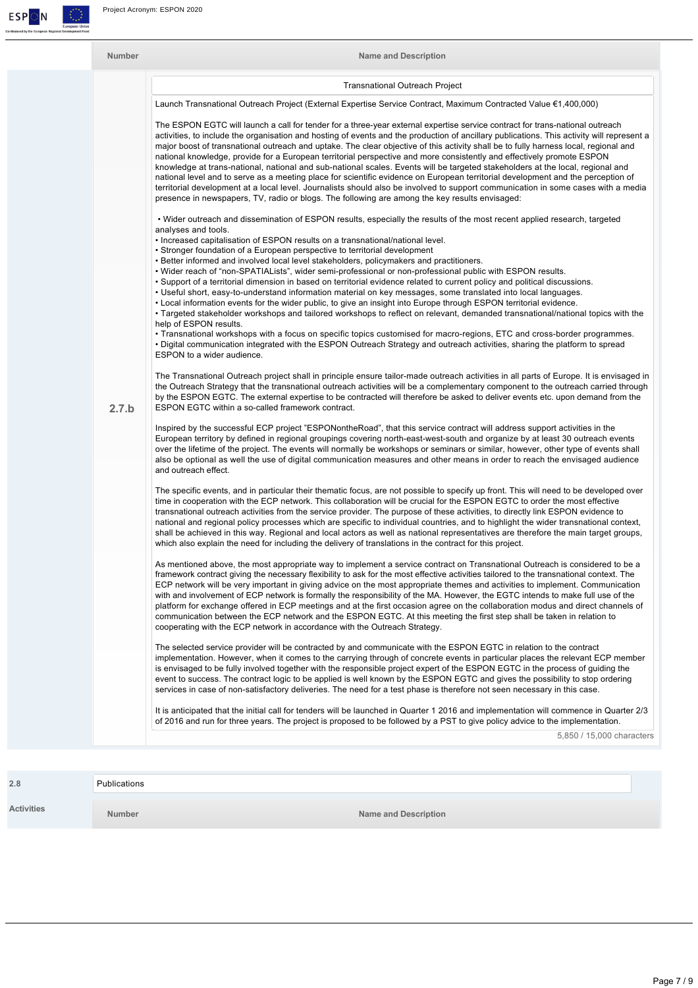

| <b>Number</b> |       | <b>Name and Description</b>                                                                                                                                                                                                                                                                                                                                                                                                                                                                                                                                                                                                                                                                                                                                                                                                                                                                                                                                                                                                                                |  |  |  |  |
|---------------|-------|------------------------------------------------------------------------------------------------------------------------------------------------------------------------------------------------------------------------------------------------------------------------------------------------------------------------------------------------------------------------------------------------------------------------------------------------------------------------------------------------------------------------------------------------------------------------------------------------------------------------------------------------------------------------------------------------------------------------------------------------------------------------------------------------------------------------------------------------------------------------------------------------------------------------------------------------------------------------------------------------------------------------------------------------------------|--|--|--|--|
|               |       | <b>Transnational Outreach Project</b>                                                                                                                                                                                                                                                                                                                                                                                                                                                                                                                                                                                                                                                                                                                                                                                                                                                                                                                                                                                                                      |  |  |  |  |
|               |       | Launch Transnational Outreach Project (External Expertise Service Contract, Maximum Contracted Value €1,400,000)                                                                                                                                                                                                                                                                                                                                                                                                                                                                                                                                                                                                                                                                                                                                                                                                                                                                                                                                           |  |  |  |  |
|               |       | The ESPON EGTC will launch a call for tender for a three-year external expertise service contract for trans-national outreach<br>activities, to include the organisation and hosting of events and the production of ancillary publications. This activity will represent a<br>major boost of transnational outreach and uptake. The clear objective of this activity shall be to fully harness local, regional and<br>national knowledge, provide for a European territorial perspective and more consistently and effectively promote ESPON<br>knowledge at trans-national, national and sub-national scales. Events will be targeted stakeholders at the local, regional and<br>national level and to serve as a meeting place for scientific evidence on European territorial development and the perception of<br>territorial development at a local level. Journalists should also be involved to support communication in some cases with a media<br>presence in newspapers, TV, radio or blogs. The following are among the key results envisaged: |  |  |  |  |
|               |       | . Wider outreach and dissemination of ESPON results, especially the results of the most recent applied research, targeted<br>analyses and tools.                                                                                                                                                                                                                                                                                                                                                                                                                                                                                                                                                                                                                                                                                                                                                                                                                                                                                                           |  |  |  |  |
|               |       | . Increased capitalisation of ESPON results on a transnational/national level.<br>• Stronger foundation of a European perspective to territorial development<br>• Better informed and involved local level stakeholders, policymakers and practitioners.                                                                                                                                                                                                                                                                                                                                                                                                                                                                                                                                                                                                                                                                                                                                                                                                   |  |  |  |  |
|               |       | . Wider reach of "non-SPATIALists", wider semi-professional or non-professional public with ESPON results.<br>• Support of a territorial dimension in based on territorial evidence related to current policy and political discussions.<br>. Useful short, easy-to-understand information material on key messages, some translated into local languages.<br>. Local information events for the wider public, to give an insight into Europe through ESPON territorial evidence.<br>• Targeted stakeholder workshops and tailored workshops to reflect on relevant, demanded transnational/national topics with the<br>help of ESPON results.                                                                                                                                                                                                                                                                                                                                                                                                             |  |  |  |  |
|               |       | • Transnational workshops with a focus on specific topics customised for macro-regions, ETC and cross-border programmes.<br>. Digital communication integrated with the ESPON Outreach Strategy and outreach activities, sharing the platform to spread<br>ESPON to a wider audience.                                                                                                                                                                                                                                                                                                                                                                                                                                                                                                                                                                                                                                                                                                                                                                      |  |  |  |  |
|               | 2.7.b | The Transnational Outreach project shall in principle ensure tailor-made outreach activities in all parts of Europe. It is envisaged in<br>the Outreach Strategy that the transnational outreach activities will be a complementary component to the outreach carried through<br>by the ESPON EGTC. The external expertise to be contracted will therefore be asked to deliver events etc. upon demand from the<br>ESPON EGTC within a so-called framework contract.                                                                                                                                                                                                                                                                                                                                                                                                                                                                                                                                                                                       |  |  |  |  |
|               |       | Inspired by the successful ECP project "ESPONontheRoad", that this service contract will address support activities in the<br>European territory by defined in regional groupings covering north-east-west-south and organize by at least 30 outreach events<br>over the lifetime of the project. The events will normally be workshops or seminars or similar, however, other type of events shall<br>also be optional as well the use of digital communication measures and other means in order to reach the envisaged audience<br>and outreach effect.                                                                                                                                                                                                                                                                                                                                                                                                                                                                                                 |  |  |  |  |
|               |       | The specific events, and in particular their thematic focus, are not possible to specify up front. This will need to be developed over<br>time in cooperation with the ECP network. This collaboration will be crucial for the ESPON EGTC to order the most effective<br>transnational outreach activities from the service provider. The purpose of these activities, to directly link ESPON evidence to                                                                                                                                                                                                                                                                                                                                                                                                                                                                                                                                                                                                                                                  |  |  |  |  |

national and regional policy processes which are specific to individual countries, and to highlight the wider transnational context, shall be achieved in this way. Regional and local actors as well as national representatives are therefore the main target groups, which also explain the need for including the delivery of translations in the contract for this project.

As mentioned above, the most appropriate way to implement a service contract on Transnational Outreach is considered to be a framework contract giving the necessary flexibility to ask for the most effective activities tailored to the transnational context. The ECP network will be very important in giving advice on the most appropriate themes and activities to implement. Communication with and involvement of ECP network is formally the responsibility of the MA. However, the EGTC intends to make full use of the platform for exchange offered in ECP meetings and at the first occasion agree on the collaboration modus and direct channels of communication between the ECP network and the ESPON EGTC. At this meeting the first step shall be taken in relation to cooperating with the ECP network in accordance with the Outreach Strategy.

The selected service provider will be contracted by and communicate with the ESPON EGTC in relation to the contract implementation. However, when it comes to the carrying through of concrete events in particular places the relevant ECP member is envisaged to be fully involved together with the responsible project expert of the ESPON EGTC in the process of guiding the event to success. The contract logic to be applied is well known by the ESPON EGTC and gives the possibility to stop ordering services in case of non-satisfactory deliveries. The need for a test phase is therefore not seen necessary in this case.

It is anticipated that the initial call for tenders will be launched in Quarter 1 2016 and implementation will commence in Quarter 2/3 of 2016 and run for three years. The project is proposed to be followed by a PST to give policy advice to the implementation.

5,850 / 15,000 characters

| 2.8               | Publications  |                             |
|-------------------|---------------|-----------------------------|
| <b>Activities</b> | <b>Number</b> | <b>Name and Description</b> |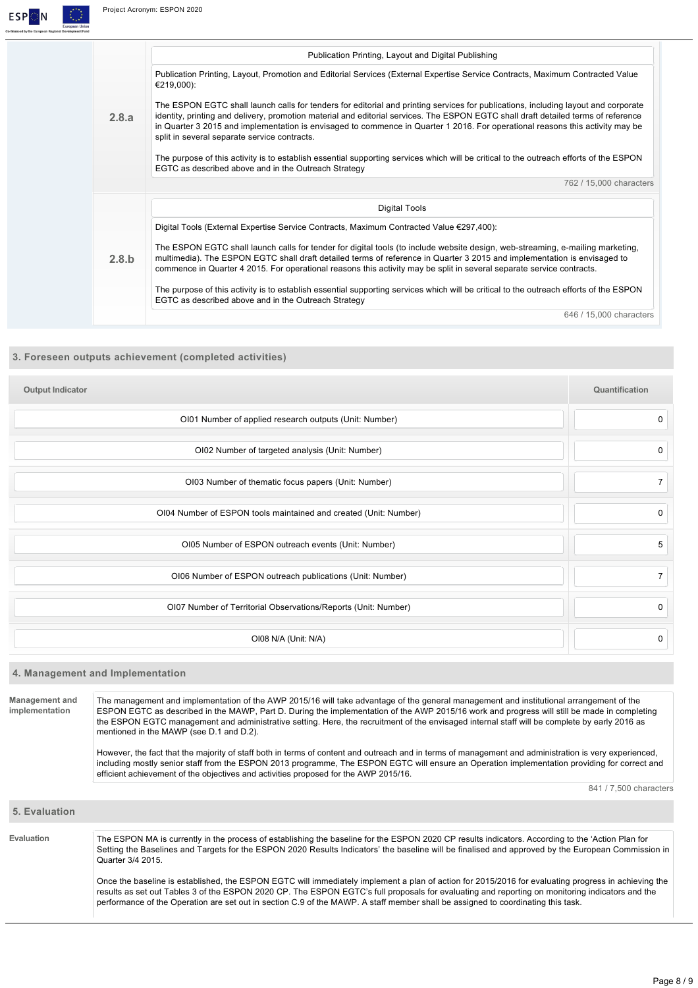

#### **3. Foreseen outputs achievement (completed activities)**

| <b>Output Indicator</b>                                          | Quantification |
|------------------------------------------------------------------|----------------|
| OI01 Number of applied research outputs (Unit: Number)           | 0              |
| OI02 Number of targeted analysis (Unit: Number)                  | 0              |
| OI03 Number of thematic focus papers (Unit: Number)              | $\overline{7}$ |
| OI04 Number of ESPON tools maintained and created (Unit: Number) | $\mathbf 0$    |
| OI05 Number of ESPON outreach events (Unit: Number)              | 5              |
| OI06 Number of ESPON outreach publications (Unit: Number)        | $\overline{7}$ |
| OI07 Number of Territorial Observations/Reports (Unit: Number)   | $\mathbf 0$    |
| OI08 N/A (Unit: N/A)                                             | $\mathbf 0$    |

#### **4. Management and Implementation**

**Management and implementation** The management and implementation of the AWP 2015/16 will take advantage of the general management and institutional arrangement of the ESPON EGTC as described in the MAWP, Part D. During the implementation of the AWP 2015/16 work and progress will still be made in completing the ESPON EGTC management and administrative setting. Here, the recruitment of the envisaged internal staff will be complete by early 2016 as mentioned in the MAWP (see D.1 and D.2).

> However, the fact that the majority of staff both in terms of content and outreach and in terms of management and administration is very experienced, including mostly senior staff from the ESPON 2013 programme, The ESPON EGTC will ensure an Operation implementation providing for correct and efficient achievement of the objectives and activities proposed for the AWP 2015/16.

> > 841 / 7,500 characters

#### **5. Evaluation**

**Evaluation** The ESPON MA is currently in the process of establishing the baseline for the ESPON 2020 CP results indicators. According to the 'Action Plan for Setting the Baselines and Targets for the ESPON 2020 Results Indicators' the baseline will be finalised and approved by the European Commission in Quarter 3/4 2015.

> Once the baseline is established, the ESPON EGTC will immediately implement a plan of action for 2015/2016 for evaluating progress in achieving the results as set out Tables 3 of the ESPON 2020 CP. The ESPON EGTC's full proposals for evaluating and reporting on monitoring indicators and the performance of the Operation are set out in section C.9 of the MAWP. A staff member shall be assigned to coordinating this task.